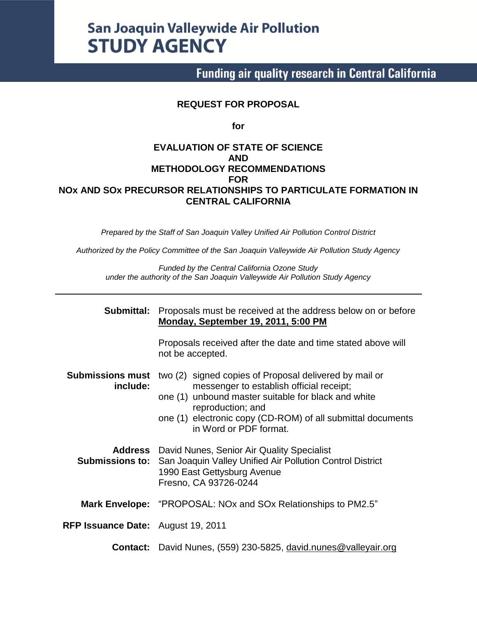# **San Joaquin Valleywide Air Pollution STUDY AGENCY**

# **Funding air quality research in Central California**

#### **REQUEST FOR PROPOSAL**

**for**

#### **EVALUATION OF STATE OF SCIENCE AND METHODOLOGY RECOMMENDATIONS FOR NOx AND SOx PRECURSOR RELATIONSHIPS TO PARTICULATE FORMATION IN CENTRAL CALIFORNIA**

*Prepared by the Staff of San Joaquin Valley Unified Air Pollution Control District*

*Authorized by the Policy Committee of the San Joaquin Valleywide Air Pollution Study Agency*

*Funded by the Central California Ozone Study under the authority of the San Joaquin Valleywide Air Pollution Study Agency*

| Submittal:                          | Proposals must be received at the address below on or before<br><b>Monday, September 19, 2011, 5:00 PM</b>                                                                                                                                                              |  |  |  |  |  |
|-------------------------------------|-------------------------------------------------------------------------------------------------------------------------------------------------------------------------------------------------------------------------------------------------------------------------|--|--|--|--|--|
|                                     | Proposals received after the date and time stated above will<br>not be accepted.                                                                                                                                                                                        |  |  |  |  |  |
| <b>Submissions must</b><br>include: | two (2) signed copies of Proposal delivered by mail or<br>messenger to establish official receipt;<br>one (1) unbound master suitable for black and white<br>reproduction; and<br>one (1) electronic copy (CD-ROM) of all submittal documents<br>in Word or PDF format. |  |  |  |  |  |
|                                     | <b>Address</b> David Nunes, Senior Air Quality Specialist<br><b>Submissions to:</b> San Joaquin Valley Unified Air Pollution Control District<br>1990 East Gettysburg Avenue<br>Fresno, CA 93726-0244                                                                   |  |  |  |  |  |
|                                     | <b>Mark Envelope:</b> "PROPOSAL: NOx and SOx Relationships to PM2.5"                                                                                                                                                                                                    |  |  |  |  |  |
| RFP Issuance Date: August 19, 2011  |                                                                                                                                                                                                                                                                         |  |  |  |  |  |
|                                     | <b>Contact:</b> David Nunes, (559) 230-5825, david.nunes@valleyair.org                                                                                                                                                                                                  |  |  |  |  |  |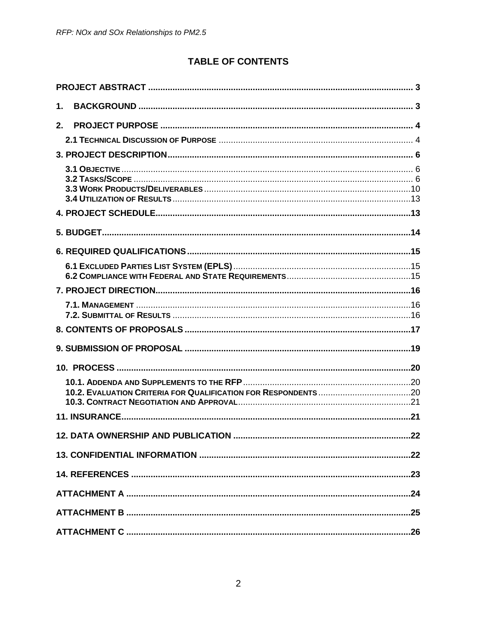# **TABLE OF CONTENTS**

| 1.             |  |
|----------------|--|
| 2 <sub>1</sub> |  |
|                |  |
|                |  |
|                |  |
|                |  |
|                |  |
|                |  |
|                |  |
|                |  |
|                |  |
|                |  |
|                |  |
|                |  |
|                |  |
|                |  |
|                |  |
|                |  |
|                |  |
|                |  |
|                |  |
|                |  |
|                |  |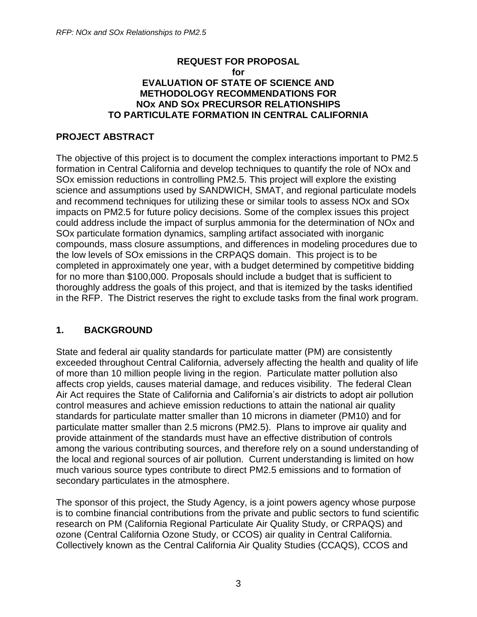#### **REQUEST FOR PROPOSAL for EVALUATION OF STATE OF SCIENCE AND METHODOLOGY RECOMMENDATIONS FOR NOx AND SOx PRECURSOR RELATIONSHIPS TO PARTICULATE FORMATION IN CENTRAL CALIFORNIA**

#### <span id="page-2-0"></span>**PROJECT ABSTRACT**

The objective of this project is to document the complex interactions important to PM2.5 formation in Central California and develop techniques to quantify the role of NOx and SOx emission reductions in controlling PM2.5. This project will explore the existing science and assumptions used by SANDWICH, SMAT, and regional particulate models and recommend techniques for utilizing these or similar tools to assess NOx and SOx impacts on PM2.5 for future policy decisions. Some of the complex issues this project could address include the impact of surplus ammonia for the determination of NOx and SOx particulate formation dynamics, sampling artifact associated with inorganic compounds, mass closure assumptions, and differences in modeling procedures due to the low levels of SOx emissions in the CRPAQS domain. This project is to be completed in approximately one year, with a budget determined by competitive bidding for no more than \$100,000. Proposals should include a budget that is sufficient to thoroughly address the goals of this project, and that is itemized by the tasks identified in the RFP. The District reserves the right to exclude tasks from the final work program.

#### <span id="page-2-1"></span>**1. BACKGROUND**

State and federal air quality standards for particulate matter (PM) are consistently exceeded throughout Central California, adversely affecting the health and quality of life of more than 10 million people living in the region. Particulate matter pollution also affects crop yields, causes material damage, and reduces visibility. The federal Clean Air Act requires the State of California and California's air districts to adopt air pollution control measures and achieve emission reductions to attain the national air quality standards for particulate matter smaller than 10 microns in diameter (PM10) and for particulate matter smaller than 2.5 microns (PM2.5). Plans to improve air quality and provide attainment of the standards must have an effective distribution of controls among the various contributing sources, and therefore rely on a sound understanding of the local and regional sources of air pollution. Current understanding is limited on how much various source types contribute to direct PM2.5 emissions and to formation of secondary particulates in the atmosphere.

The sponsor of this project, the Study Agency, is a joint powers agency whose purpose is to combine financial contributions from the private and public sectors to fund scientific research on PM (California Regional Particulate Air Quality Study, or CRPAQS) and ozone (Central California Ozone Study, or CCOS) air quality in Central California. Collectively known as the Central California Air Quality Studies (CCAQS), CCOS and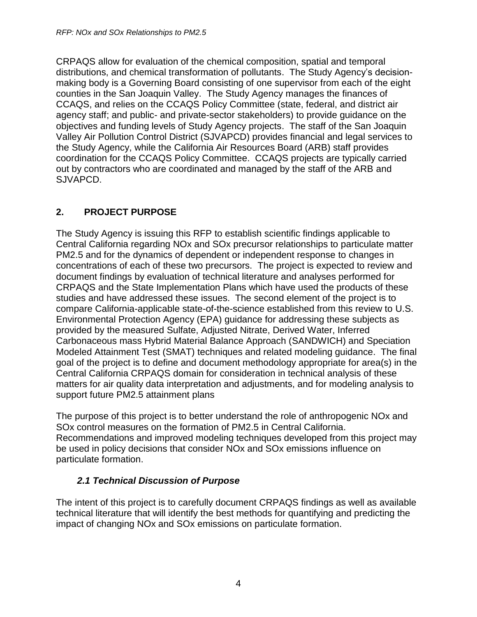CRPAQS allow for evaluation of the chemical composition, spatial and temporal distributions, and chemical transformation of pollutants. The Study Agency's decisionmaking body is a Governing Board consisting of one supervisor from each of the eight counties in the San Joaquin Valley. The Study Agency manages the finances of CCAQS, and relies on the CCAQS Policy Committee (state, federal, and district air agency staff; and public- and private-sector stakeholders) to provide guidance on the objectives and funding levels of Study Agency projects. The staff of the San Joaquin Valley Air Pollution Control District (SJVAPCD) provides financial and legal services to the Study Agency, while the California Air Resources Board (ARB) staff provides coordination for the CCAQS Policy Committee. CCAQS projects are typically carried out by contractors who are coordinated and managed by the staff of the ARB and SJVAPCD.

## <span id="page-3-0"></span>**2. PROJECT PURPOSE**

The Study Agency is issuing this RFP to establish scientific findings applicable to Central California regarding NOx and SOx precursor relationships to particulate matter PM2.5 and for the dynamics of dependent or independent response to changes in concentrations of each of these two precursors. The project is expected to review and document findings by evaluation of technical literature and analyses performed for CRPAQS and the State Implementation Plans which have used the products of these studies and have addressed these issues. The second element of the project is to compare California-applicable state-of-the-science established from this review to U.S. Environmental Protection Agency (EPA) guidance for addressing these subjects as provided by the measured Sulfate, Adjusted Nitrate, Derived Water, Inferred Carbonaceous mass Hybrid Material Balance Approach (SANDWICH) and Speciation Modeled Attainment Test (SMAT) techniques and related modeling guidance. The final goal of the project is to define and document methodology appropriate for area(s) in the Central California CRPAQS domain for consideration in technical analysis of these matters for air quality data interpretation and adjustments, and for modeling analysis to support future PM2.5 attainment plans

The purpose of this project is to better understand the role of anthropogenic NOx and SOx control measures on the formation of PM2.5 in Central California. Recommendations and improved modeling techniques developed from this project may be used in policy decisions that consider NOx and SOx emissions influence on particulate formation.

#### *2.1 Technical Discussion of Purpose*

<span id="page-3-1"></span>The intent of this project is to carefully document CRPAQS findings as well as available technical literature that will identify the best methods for quantifying and predicting the impact of changing NOx and SOx emissions on particulate formation.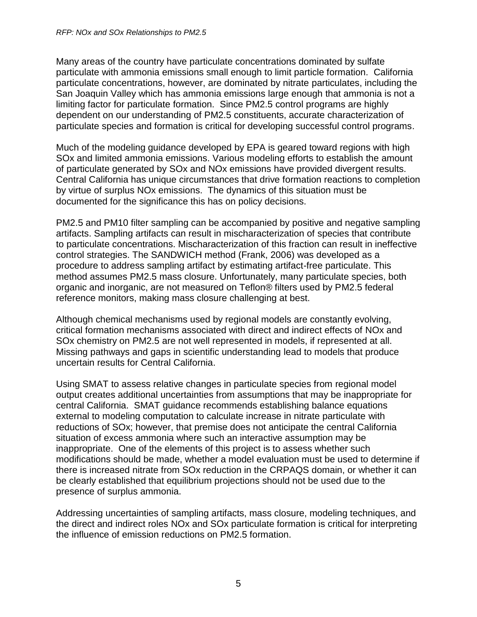Many areas of the country have particulate concentrations dominated by sulfate particulate with ammonia emissions small enough to limit particle formation. California particulate concentrations, however, are dominated by nitrate particulates, including the San Joaquin Valley which has ammonia emissions large enough that ammonia is not a limiting factor for particulate formation. Since PM2.5 control programs are highly dependent on our understanding of PM2.5 constituents, accurate characterization of particulate species and formation is critical for developing successful control programs.

Much of the modeling guidance developed by EPA is geared toward regions with high SOx and limited ammonia emissions. Various modeling efforts to establish the amount of particulate generated by SOx and NOx emissions have provided divergent results. Central California has unique circumstances that drive formation reactions to completion by virtue of surplus NOx emissions. The dynamics of this situation must be documented for the significance this has on policy decisions.

PM2.5 and PM10 filter sampling can be accompanied by positive and negative sampling artifacts. Sampling artifacts can result in mischaracterization of species that contribute to particulate concentrations. Mischaracterization of this fraction can result in ineffective control strategies. The SANDWICH method (Frank, 2006) was developed as a procedure to address sampling artifact by estimating artifact-free particulate. This method assumes PM2.5 mass closure. Unfortunately, many particulate species, both organic and inorganic, are not measured on Teflon® filters used by PM2.5 federal reference monitors, making mass closure challenging at best.

Although chemical mechanisms used by regional models are constantly evolving, critical formation mechanisms associated with direct and indirect effects of NOx and SOx chemistry on PM2.5 are not well represented in models, if represented at all. Missing pathways and gaps in scientific understanding lead to models that produce uncertain results for Central California.

Using SMAT to assess relative changes in particulate species from regional model output creates additional uncertainties from assumptions that may be inappropriate for central California. SMAT guidance recommends establishing balance equations external to modeling computation to calculate increase in nitrate particulate with reductions of SOx; however, that premise does not anticipate the central California situation of excess ammonia where such an interactive assumption may be inappropriate. One of the elements of this project is to assess whether such modifications should be made, whether a model evaluation must be used to determine if there is increased nitrate from SOx reduction in the CRPAQS domain, or whether it can be clearly established that equilibrium projections should not be used due to the presence of surplus ammonia.

Addressing uncertainties of sampling artifacts, mass closure, modeling techniques, and the direct and indirect roles NOx and SOx particulate formation is critical for interpreting the influence of emission reductions on PM2.5 formation.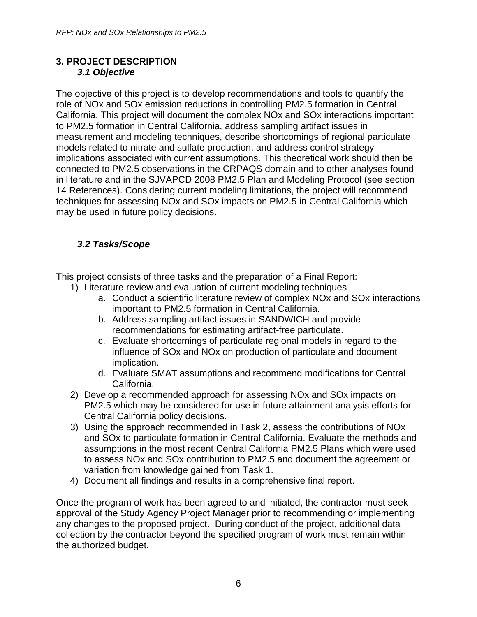#### <span id="page-5-1"></span><span id="page-5-0"></span>**3. PROJECT DESCRIPTION** *3.1 Objective*

The objective of this project is to develop recommendations and tools to quantify the role of NOx and SOx emission reductions in controlling PM2.5 formation in Central California. This project will document the complex NOx and SOx interactions important to PM2.5 formation in Central California, address sampling artifact issues in measurement and modeling techniques, describe shortcomings of regional particulate models related to nitrate and sulfate production, and address control strategy implications associated with current assumptions. This theoretical work should then be connected to PM2.5 observations in the CRPAQS domain and to other analyses found in literature and in the SJVAPCD 2008 PM2.5 Plan and Modeling Protocol (see section 14 References). Considering current modeling limitations, the project will recommend techniques for assessing NOx and SOx impacts on PM2.5 in Central California which may be used in future policy decisions.

## <span id="page-5-2"></span>*3.2 Tasks/Scope*

This project consists of three tasks and the preparation of a Final Report:

- 1) Literature review and evaluation of current modeling techniques
	- a. Conduct a scientific literature review of complex NOx and SOx interactions important to PM2.5 formation in Central California.
	- b. Address sampling artifact issues in SANDWICH and provide recommendations for estimating artifact-free particulate.
	- c. Evaluate shortcomings of particulate regional models in regard to the influence of SOx and NOx on production of particulate and document implication.
	- d. Evaluate SMAT assumptions and recommend modifications for Central California.
- 2) Develop a recommended approach for assessing NOx and SOx impacts on PM2.5 which may be considered for use in future attainment analysis efforts for Central California policy decisions.
- 3) Using the approach recommended in Task 2, assess the contributions of NOx and SOx to particulate formation in Central California. Evaluate the methods and assumptions in the most recent Central California PM2.5 Plans which were used to assess NOx and SOx contribution to PM2.5 and document the agreement or variation from knowledge gained from Task 1.
- 4) Document all findings and results in a comprehensive final report.

Once the program of work has been agreed to and initiated, the contractor must seek approval of the Study Agency Project Manager prior to recommending or implementing any changes to the proposed project. During conduct of the project, additional data collection by the contractor beyond the specified program of work must remain within the authorized budget.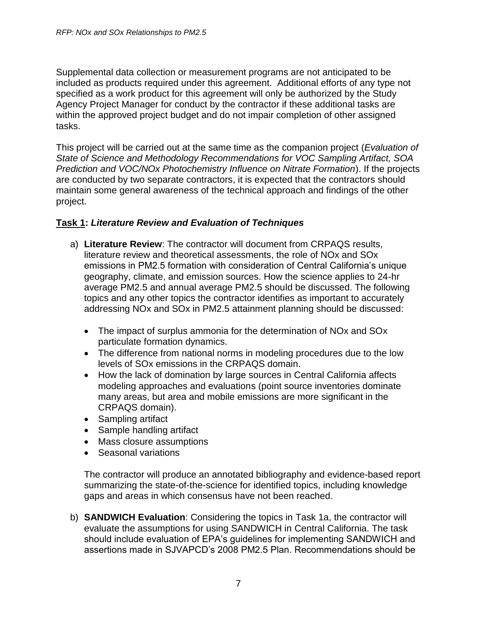Supplemental data collection or measurement programs are not anticipated to be included as products required under this agreement. Additional efforts of any type not specified as a work product for this agreement will only be authorized by the Study Agency Project Manager for conduct by the contractor if these additional tasks are within the approved project budget and do not impair completion of other assigned tasks.

This project will be carried out at the same time as the companion project (*Evaluation of State of Science and Methodology Recommendations for VOC Sampling Artifact, SOA Prediction and VOC/NOx Photochemistry Influence on Nitrate Formation*). If the projects are conducted by two separate contractors, it is expected that the contractors should maintain some general awareness of the technical approach and findings of the other project.

#### **Task 1:** *Literature Review and Evaluation of Techniques*

- a) **Literature Review**: The contractor will document from CRPAQS results, literature review and theoretical assessments, the role of NOx and SOx emissions in PM2.5 formation with consideration of Central California's unique geography, climate, and emission sources. How the science applies to 24-hr average PM2.5 and annual average PM2.5 should be discussed. The following topics and any other topics the contractor identifies as important to accurately addressing NOx and SOx in PM2.5 attainment planning should be discussed:
	- The impact of surplus ammonia for the determination of NOx and SOx particulate formation dynamics.
	- The difference from national norms in modeling procedures due to the low levels of SOx emissions in the CRPAQS domain.
	- How the lack of domination by large sources in Central California affects modeling approaches and evaluations (point source inventories dominate many areas, but area and mobile emissions are more significant in the CRPAQS domain).
	- Sampling artifact
	- Sample handling artifact
	- Mass closure assumptions
	- Seasonal variations

The contractor will produce an annotated bibliography and evidence-based report summarizing the state-of-the-science for identified topics, including knowledge gaps and areas in which consensus have not been reached.

b) **SANDWICH Evaluation**: Considering the topics in Task 1a, the contractor will evaluate the assumptions for using SANDWICH in Central California. The task should include evaluation of EPA's guidelines for implementing SANDWICH and assertions made in SJVAPCD's 2008 PM2.5 Plan. Recommendations should be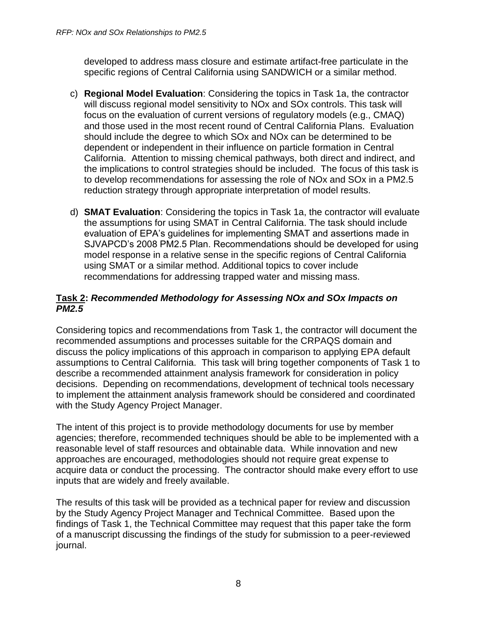developed to address mass closure and estimate artifact-free particulate in the specific regions of Central California using SANDWICH or a similar method.

- c) **Regional Model Evaluation**: Considering the topics in Task 1a, the contractor will discuss regional model sensitivity to NOx and SOx controls. This task will focus on the evaluation of current versions of regulatory models (e.g., CMAQ) and those used in the most recent round of Central California Plans. Evaluation should include the degree to which SOx and NOx can be determined to be dependent or independent in their influence on particle formation in Central California. Attention to missing chemical pathways, both direct and indirect, and the implications to control strategies should be included. The focus of this task is to develop recommendations for assessing the role of NOx and SOx in a PM2.5 reduction strategy through appropriate interpretation of model results.
- d) **SMAT Evaluation**: Considering the topics in Task 1a, the contractor will evaluate the assumptions for using SMAT in Central California. The task should include evaluation of EPA's guidelines for implementing SMAT and assertions made in SJVAPCD's 2008 PM2.5 Plan. Recommendations should be developed for using model response in a relative sense in the specific regions of Central California using SMAT or a similar method. Additional topics to cover include recommendations for addressing trapped water and missing mass.

#### **Task 2:** *Recommended Methodology for Assessing NOx and SOx Impacts on PM2.5*

Considering topics and recommendations from Task 1, the contractor will document the recommended assumptions and processes suitable for the CRPAQS domain and discuss the policy implications of this approach in comparison to applying EPA default assumptions to Central California. This task will bring together components of Task 1 to describe a recommended attainment analysis framework for consideration in policy decisions. Depending on recommendations, development of technical tools necessary to implement the attainment analysis framework should be considered and coordinated with the Study Agency Project Manager.

The intent of this project is to provide methodology documents for use by member agencies; therefore, recommended techniques should be able to be implemented with a reasonable level of staff resources and obtainable data. While innovation and new approaches are encouraged, methodologies should not require great expense to acquire data or conduct the processing. The contractor should make every effort to use inputs that are widely and freely available.

The results of this task will be provided as a technical paper for review and discussion by the Study Agency Project Manager and Technical Committee. Based upon the findings of Task 1, the Technical Committee may request that this paper take the form of a manuscript discussing the findings of the study for submission to a peer-reviewed journal.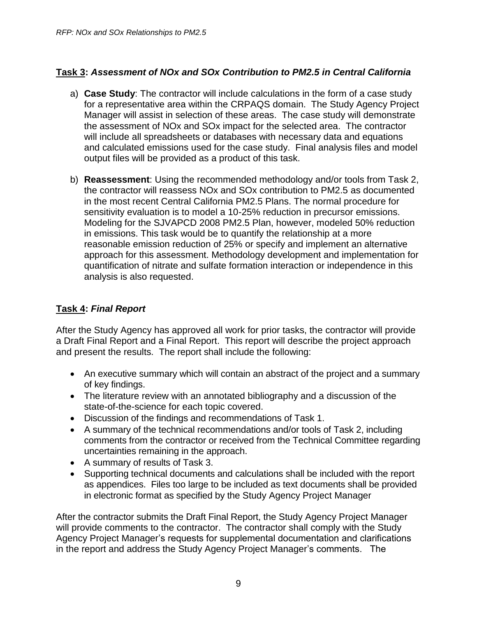#### **Task 3:** *Assessment of NOx and SOx Contribution to PM2.5 in Central California*

- a) **Case Study**: The contractor will include calculations in the form of a case study for a representative area within the CRPAQS domain. The Study Agency Project Manager will assist in selection of these areas. The case study will demonstrate the assessment of NOx and SOx impact for the selected area. The contractor will include all spreadsheets or databases with necessary data and equations and calculated emissions used for the case study. Final analysis files and model output files will be provided as a product of this task.
- b) **Reassessment**: Using the recommended methodology and/or tools from Task 2, the contractor will reassess NOx and SOx contribution to PM2.5 as documented in the most recent Central California PM2.5 Plans. The normal procedure for sensitivity evaluation is to model a 10-25% reduction in precursor emissions. Modeling for the SJVAPCD 2008 PM2.5 Plan, however, modeled 50% reduction in emissions. This task would be to quantify the relationship at a more reasonable emission reduction of 25% or specify and implement an alternative approach for this assessment. Methodology development and implementation for quantification of nitrate and sulfate formation interaction or independence in this analysis is also requested.

#### **Task 4:** *Final Report*

After the Study Agency has approved all work for prior tasks, the contractor will provide a Draft Final Report and a Final Report. This report will describe the project approach and present the results. The report shall include the following:

- An executive summary which will contain an abstract of the project and a summary of key findings.
- The literature review with an annotated bibliography and a discussion of the state-of-the-science for each topic covered.
- Discussion of the findings and recommendations of Task 1.
- A summary of the technical recommendations and/or tools of Task 2, including comments from the contractor or received from the Technical Committee regarding uncertainties remaining in the approach.
- A summary of results of Task 3.
- Supporting technical documents and calculations shall be included with the report as appendices. Files too large to be included as text documents shall be provided in electronic format as specified by the Study Agency Project Manager

After the contractor submits the Draft Final Report, the Study Agency Project Manager will provide comments to the contractor. The contractor shall comply with the Study Agency Project Manager's requests for supplemental documentation and clarifications in the report and address the Study Agency Project Manager's comments. The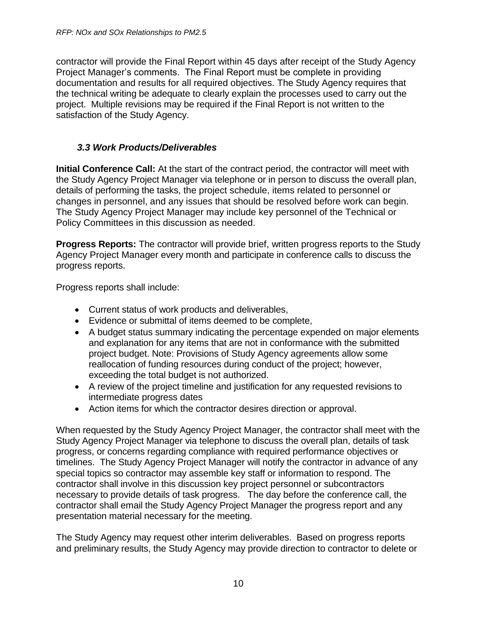contractor will provide the Final Report within 45 days after receipt of the Study Agency Project Manager's comments. The Final Report must be complete in providing documentation and results for all required objectives. The Study Agency requires that the technical writing be adequate to clearly explain the processes used to carry out the project. Multiple revisions may be required if the Final Report is not written to the satisfaction of the Study Agency.

#### *3.3 Work Products/Deliverables*

<span id="page-9-0"></span>**Initial Conference Call:** At the start of the contract period, the contractor will meet with the Study Agency Project Manager via telephone or in person to discuss the overall plan, details of performing the tasks, the project schedule, items related to personnel or changes in personnel, and any issues that should be resolved before work can begin. The Study Agency Project Manager may include key personnel of the Technical or Policy Committees in this discussion as needed.

**Progress Reports:** The contractor will provide brief, written progress reports to the Study Agency Project Manager every month and participate in conference calls to discuss the progress reports.

Progress reports shall include:

- Current status of work products and deliverables,
- Evidence or submittal of items deemed to be complete,
- A budget status summary indicating the percentage expended on major elements and explanation for any items that are not in conformance with the submitted project budget. Note: Provisions of Study Agency agreements allow some reallocation of funding resources during conduct of the project; however, exceeding the total budget is not authorized.
- A review of the project timeline and justification for any requested revisions to intermediate progress dates
- Action items for which the contractor desires direction or approval.

When requested by the Study Agency Project Manager, the contractor shall meet with the Study Agency Project Manager via telephone to discuss the overall plan, details of task progress, or concerns regarding compliance with required performance objectives or timelines. The Study Agency Project Manager will notify the contractor in advance of any special topics so contractor may assemble key staff or information to respond. The contractor shall involve in this discussion key project personnel or subcontractors necessary to provide details of task progress. The day before the conference call, the contractor shall email the Study Agency Project Manager the progress report and any presentation material necessary for the meeting.

The Study Agency may request other interim deliverables. Based on progress reports and preliminary results, the Study Agency may provide direction to contractor to delete or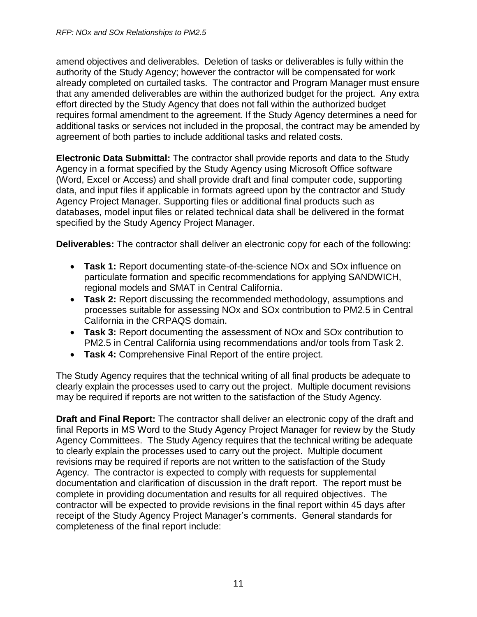amend objectives and deliverables. Deletion of tasks or deliverables is fully within the authority of the Study Agency; however the contractor will be compensated for work already completed on curtailed tasks. The contractor and Program Manager must ensure that any amended deliverables are within the authorized budget for the project. Any extra effort directed by the Study Agency that does not fall within the authorized budget requires formal amendment to the agreement. If the Study Agency determines a need for additional tasks or services not included in the proposal, the contract may be amended by agreement of both parties to include additional tasks and related costs.

**Electronic Data Submittal:** The contractor shall provide reports and data to the Study Agency in a format specified by the Study Agency using Microsoft Office software (Word, Excel or Access) and shall provide draft and final computer code, supporting data, and input files if applicable in formats agreed upon by the contractor and Study Agency Project Manager. Supporting files or additional final products such as databases, model input files or related technical data shall be delivered in the format specified by the Study Agency Project Manager.

**Deliverables:** The contractor shall deliver an electronic copy for each of the following:

- **Task 1:** Report documenting state-of-the-science NOx and SOx influence on particulate formation and specific recommendations for applying SANDWICH, regional models and SMAT in Central California.
- **Task 2:** Report discussing the recommended methodology, assumptions and processes suitable for assessing NOx and SOx contribution to PM2.5 in Central California in the CRPAQS domain.
- **Task 3:** Report documenting the assessment of NOx and SOx contribution to PM2.5 in Central California using recommendations and/or tools from Task 2.
- **Task 4:** Comprehensive Final Report of the entire project.

The Study Agency requires that the technical writing of all final products be adequate to clearly explain the processes used to carry out the project. Multiple document revisions may be required if reports are not written to the satisfaction of the Study Agency.

**Draft and Final Report:** The contractor shall deliver an electronic copy of the draft and final Reports in MS Word to the Study Agency Project Manager for review by the Study Agency Committees. The Study Agency requires that the technical writing be adequate to clearly explain the processes used to carry out the project. Multiple document revisions may be required if reports are not written to the satisfaction of the Study Agency. The contractor is expected to comply with requests for supplemental documentation and clarification of discussion in the draft report. The report must be complete in providing documentation and results for all required objectives. The contractor will be expected to provide revisions in the final report within 45 days after receipt of the Study Agency Project Manager's comments. General standards for completeness of the final report include: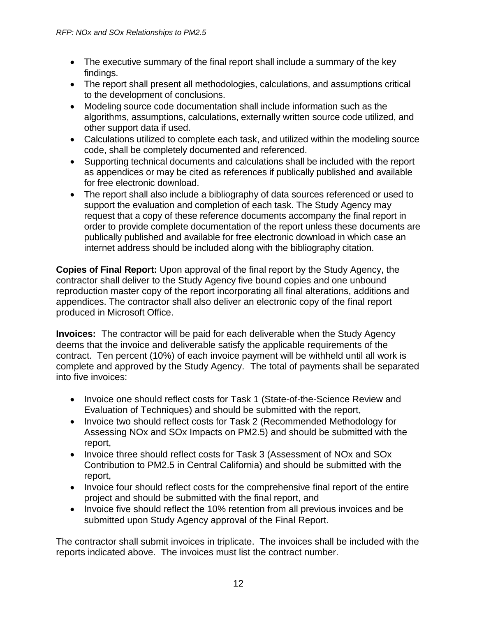- The executive summary of the final report shall include a summary of the key findings.
- The report shall present all methodologies, calculations, and assumptions critical to the development of conclusions.
- Modeling source code documentation shall include information such as the algorithms, assumptions, calculations, externally written source code utilized, and other support data if used.
- Calculations utilized to complete each task, and utilized within the modeling source code, shall be completely documented and referenced.
- Supporting technical documents and calculations shall be included with the report as appendices or may be cited as references if publically published and available for free electronic download.
- The report shall also include a bibliography of data sources referenced or used to support the evaluation and completion of each task. The Study Agency may request that a copy of these reference documents accompany the final report in order to provide complete documentation of the report unless these documents are publically published and available for free electronic download in which case an internet address should be included along with the bibliography citation.

**Copies of Final Report:** Upon approval of the final report by the Study Agency, the contractor shall deliver to the Study Agency five bound copies and one unbound reproduction master copy of the report incorporating all final alterations, additions and appendices. The contractor shall also deliver an electronic copy of the final report produced in Microsoft Office.

**Invoices:** The contractor will be paid for each deliverable when the Study Agency deems that the invoice and deliverable satisfy the applicable requirements of the contract. Ten percent (10%) of each invoice payment will be withheld until all work is complete and approved by the Study Agency. The total of payments shall be separated into five invoices:

- Invoice one should reflect costs for Task 1 (State-of-the-Science Review and Evaluation of Techniques) and should be submitted with the report,
- Invoice two should reflect costs for Task 2 (Recommended Methodology for Assessing NOx and SOx Impacts on PM2.5) and should be submitted with the report,
- Invoice three should reflect costs for Task 3 (Assessment of NOx and SOx Contribution to PM2.5 in Central California) and should be submitted with the report,
- Invoice four should reflect costs for the comprehensive final report of the entire project and should be submitted with the final report, and
- Invoice five should reflect the 10% retention from all previous invoices and be submitted upon Study Agency approval of the Final Report.

The contractor shall submit invoices in triplicate. The invoices shall be included with the reports indicated above. The invoices must list the contract number.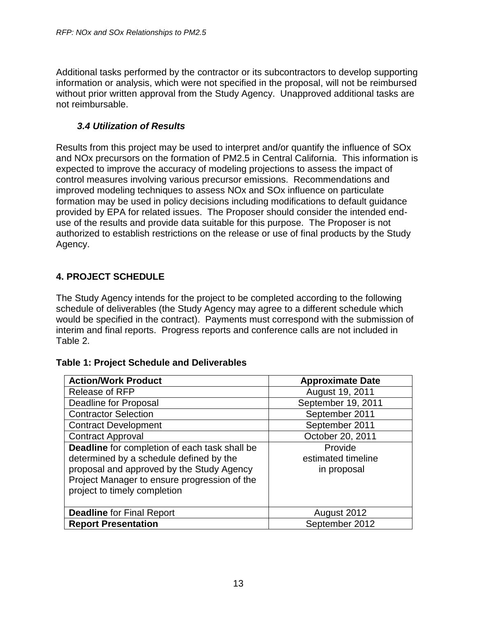Additional tasks performed by the contractor or its subcontractors to develop supporting information or analysis, which were not specified in the proposal, will not be reimbursed without prior written approval from the Study Agency. Unapproved additional tasks are not reimbursable.

#### *3.4 Utilization of Results*

<span id="page-12-0"></span>Results from this project may be used to interpret and/or quantify the influence of SOx and NOx precursors on the formation of PM2.5 in Central California. This information is expected to improve the accuracy of modeling projections to assess the impact of control measures involving various precursor emissions. Recommendations and improved modeling techniques to assess NOx and SOx influence on particulate formation may be used in policy decisions including modifications to default guidance provided by EPA for related issues. The Proposer should consider the intended enduse of the results and provide data suitable for this purpose. The Proposer is not authorized to establish restrictions on the release or use of final products by the Study Agency.

#### <span id="page-12-1"></span>**4. PROJECT SCHEDULE**

The Study Agency intends for the project to be completed according to the following schedule of deliverables (the Study Agency may agree to a different schedule which would be specified in the contract). Payments must correspond with the submission of interim and final reports. Progress reports and conference calls are not included in Table 2.

#### **Table 1: Project Schedule and Deliverables**

| <b>Action/Work Product</b>                                                                                                                                                                                            | <b>Approximate Date</b>                      |
|-----------------------------------------------------------------------------------------------------------------------------------------------------------------------------------------------------------------------|----------------------------------------------|
| <b>Release of RFP</b>                                                                                                                                                                                                 | August 19, 2011                              |
| Deadline for Proposal                                                                                                                                                                                                 | September 19, 2011                           |
| <b>Contractor Selection</b>                                                                                                                                                                                           | September 2011                               |
| <b>Contract Development</b>                                                                                                                                                                                           | September 2011                               |
| <b>Contract Approval</b>                                                                                                                                                                                              | October 20, 2011                             |
| Deadline for completion of each task shall be<br>determined by a schedule defined by the<br>proposal and approved by the Study Agency<br>Project Manager to ensure progression of the<br>project to timely completion | Provide<br>estimated timeline<br>in proposal |
| <b>Deadline for Final Report</b>                                                                                                                                                                                      | August 2012                                  |
| <b>Report Presentation</b>                                                                                                                                                                                            | September 2012                               |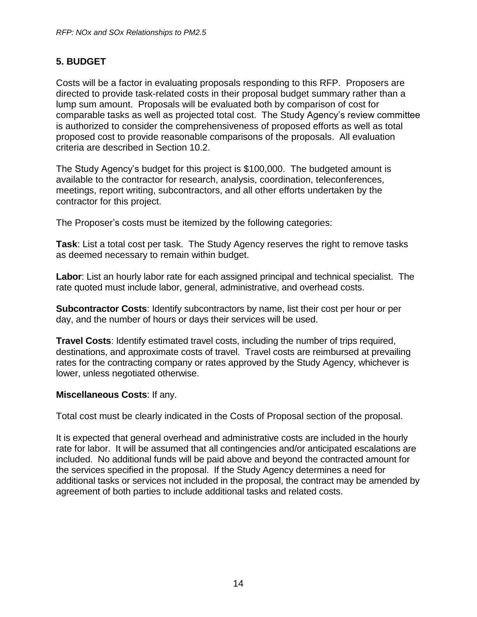#### <span id="page-13-0"></span>**5. BUDGET**

Costs will be a factor in evaluating proposals responding to this RFP. Proposers are directed to provide task-related costs in their proposal budget summary rather than a lump sum amount. Proposals will be evaluated both by comparison of cost for comparable tasks as well as projected total cost. The Study Agency's review committee is authorized to consider the comprehensiveness of proposed efforts as well as total proposed cost to provide reasonable comparisons of the proposals. All evaluation criteria are described in Section 10.2.

The Study Agency's budget for this project is \$100,000. The budgeted amount is available to the contractor for research, analysis, coordination, teleconferences, meetings, report writing, subcontractors, and all other efforts undertaken by the contractor for this project.

The Proposer's costs must be itemized by the following categories:

**Task**: List a total cost per task. The Study Agency reserves the right to remove tasks as deemed necessary to remain within budget.

**Labor**: List an hourly labor rate for each assigned principal and technical specialist. The rate quoted must include labor, general, administrative, and overhead costs.

**Subcontractor Costs**: Identify subcontractors by name, list their cost per hour or per day, and the number of hours or days their services will be used.

**Travel Costs**: Identify estimated travel costs, including the number of trips required, destinations, and approximate costs of travel. Travel costs are reimbursed at prevailing rates for the contracting company or rates approved by the Study Agency, whichever is lower, unless negotiated otherwise.

#### **Miscellaneous Costs**: If any.

Total cost must be clearly indicated in the Costs of Proposal section of the proposal.

It is expected that general overhead and administrative costs are included in the hourly rate for labor. It will be assumed that all contingencies and/or anticipated escalations are included. No additional funds will be paid above and beyond the contracted amount for the services specified in the proposal. If the Study Agency determines a need for additional tasks or services not included in the proposal, the contract may be amended by agreement of both parties to include additional tasks and related costs.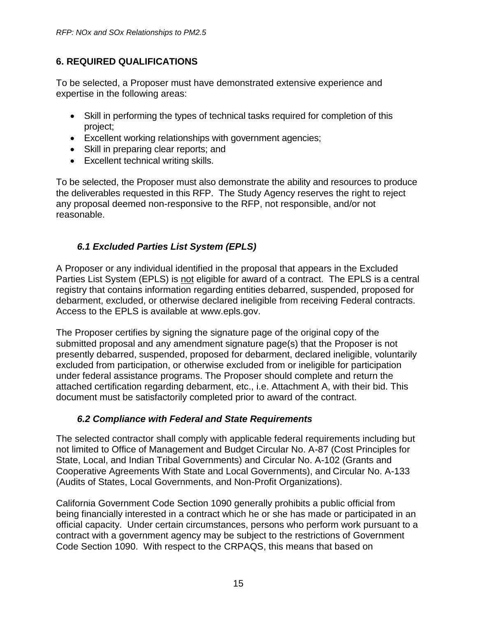#### <span id="page-14-0"></span>**6. REQUIRED QUALIFICATIONS**

To be selected, a Proposer must have demonstrated extensive experience and expertise in the following areas:

- Skill in performing the types of technical tasks required for completion of this project;
- Excellent working relationships with government agencies;
- Skill in preparing clear reports; and
- Excellent technical writing skills.

To be selected, the Proposer must also demonstrate the ability and resources to produce the deliverables requested in this RFP. The Study Agency reserves the right to reject any proposal deemed non-responsive to the RFP, not responsible, and/or not reasonable.

#### *6.1 Excluded Parties List System (EPLS)*

<span id="page-14-1"></span>A Proposer or any individual identified in the proposal that appears in the Excluded Parties List System (EPLS) is not eligible for award of a contract. The EPLS is a central registry that contains information regarding entities debarred, suspended, proposed for debarment, excluded, or otherwise declared ineligible from receiving Federal contracts. Access to the EPLS is available at www.epls.gov.

The Proposer certifies by signing the signature page of the original copy of the submitted proposal and any amendment signature page(s) that the Proposer is not presently debarred, suspended, proposed for debarment, declared ineligible, voluntarily excluded from participation, or otherwise excluded from or ineligible for participation under federal assistance programs. The Proposer should complete and return the attached certification regarding debarment, etc., i.e. Attachment A, with their bid. This document must be satisfactorily completed prior to award of the contract.

#### *6.2 Compliance with Federal and State Requirements*

<span id="page-14-2"></span>The selected contractor shall comply with applicable federal requirements including but not limited to Office of Management and Budget Circular No. A-87 (Cost Principles for State, Local, and Indian Tribal Governments) and Circular No. A-102 (Grants and Cooperative Agreements With State and Local Governments), and Circular No. A-133 (Audits of States, Local Governments, and Non-Profit Organizations).

California Government Code Section 1090 generally prohibits a public official from being financially interested in a contract which he or she has made or participated in an official capacity. Under certain circumstances, persons who perform work pursuant to a contract with a government agency may be subject to the restrictions of Government Code Section 1090. With respect to the CRPAQS, this means that based on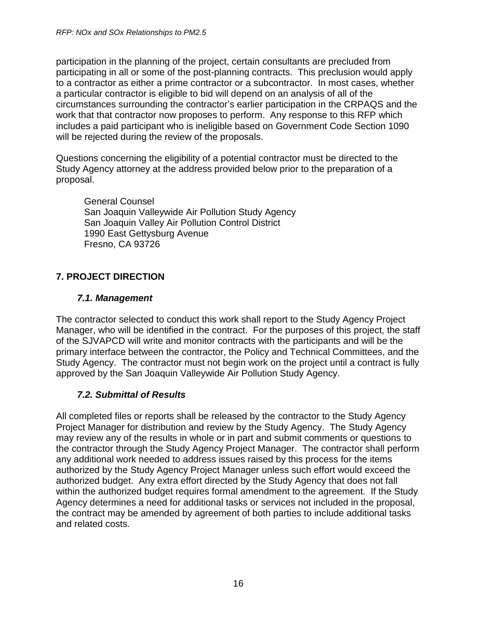participation in the planning of the project, certain consultants are precluded from participating in all or some of the post-planning contracts. This preclusion would apply to a contractor as either a prime contractor or a subcontractor. In most cases, whether a particular contractor is eligible to bid will depend on an analysis of all of the circumstances surrounding the contractor's earlier participation in the CRPAQS and the work that that contractor now proposes to perform. Any response to this RFP which includes a paid participant who is ineligible based on Government Code Section 1090 will be rejected during the review of the proposals.

Questions concerning the eligibility of a potential contractor must be directed to the Study Agency attorney at the address provided below prior to the preparation of a proposal.

General Counsel San Joaquin Valleywide Air Pollution Study Agency San Joaquin Valley Air Pollution Control District 1990 East Gettysburg Avenue Fresno, CA 93726

## <span id="page-15-0"></span>**7. PROJECT DIRECTION**

#### *7.1. Management*

<span id="page-15-1"></span>The contractor selected to conduct this work shall report to the Study Agency Project Manager, who will be identified in the contract. For the purposes of this project, the staff of the SJVAPCD will write and monitor contracts with the participants and will be the primary interface between the contractor, the Policy and Technical Committees, and the Study Agency. The contractor must not begin work on the project until a contract is fully approved by the San Joaquin Valleywide Air Pollution Study Agency.

#### *7.2. Submittal of Results*

<span id="page-15-2"></span>All completed files or reports shall be released by the contractor to the Study Agency Project Manager for distribution and review by the Study Agency. The Study Agency may review any of the results in whole or in part and submit comments or questions to the contractor through the Study Agency Project Manager. The contractor shall perform any additional work needed to address issues raised by this process for the items authorized by the Study Agency Project Manager unless such effort would exceed the authorized budget. Any extra effort directed by the Study Agency that does not fall within the authorized budget requires formal amendment to the agreement. If the Study Agency determines a need for additional tasks or services not included in the proposal, the contract may be amended by agreement of both parties to include additional tasks and related costs.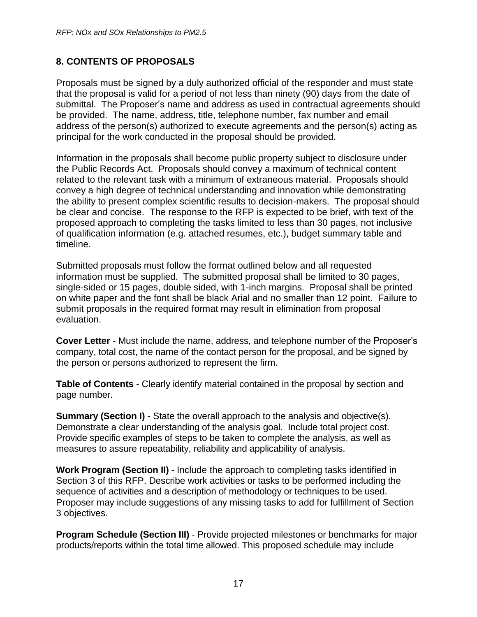#### <span id="page-16-0"></span>**8. CONTENTS OF PROPOSALS**

Proposals must be signed by a duly authorized official of the responder and must state that the proposal is valid for a period of not less than ninety (90) days from the date of submittal. The Proposer's name and address as used in contractual agreements should be provided. The name, address, title, telephone number, fax number and email address of the person(s) authorized to execute agreements and the person(s) acting as principal for the work conducted in the proposal should be provided.

Information in the proposals shall become public property subject to disclosure under the Public Records Act. Proposals should convey a maximum of technical content related to the relevant task with a minimum of extraneous material. Proposals should convey a high degree of technical understanding and innovation while demonstrating the ability to present complex scientific results to decision-makers. The proposal should be clear and concise. The response to the RFP is expected to be brief, with text of the proposed approach to completing the tasks limited to less than 30 pages, not inclusive of qualification information (e.g. attached resumes, etc.), budget summary table and timeline.

Submitted proposals must follow the format outlined below and all requested information must be supplied. The submitted proposal shall be limited to 30 pages, single-sided or 15 pages, double sided, with 1-inch margins. Proposal shall be printed on white paper and the font shall be black Arial and no smaller than 12 point. Failure to submit proposals in the required format may result in elimination from proposal evaluation.

**Cover Letter** - Must include the name, address, and telephone number of the Proposer's company, total cost, the name of the contact person for the proposal, and be signed by the person or persons authorized to represent the firm.

**Table of Contents** - Clearly identify material contained in the proposal by section and page number.

**Summary (Section I)** - State the overall approach to the analysis and objective(s). Demonstrate a clear understanding of the analysis goal. Include total project cost. Provide specific examples of steps to be taken to complete the analysis, as well as measures to assure repeatability, reliability and applicability of analysis.

**Work Program (Section II)** - Include the approach to completing tasks identified in Section 3 of this RFP. Describe work activities or tasks to be performed including the sequence of activities and a description of methodology or techniques to be used. Proposer may include suggestions of any missing tasks to add for fulfillment of Section 3 objectives.

**Program Schedule (Section III)** - Provide projected milestones or benchmarks for major products/reports within the total time allowed. This proposed schedule may include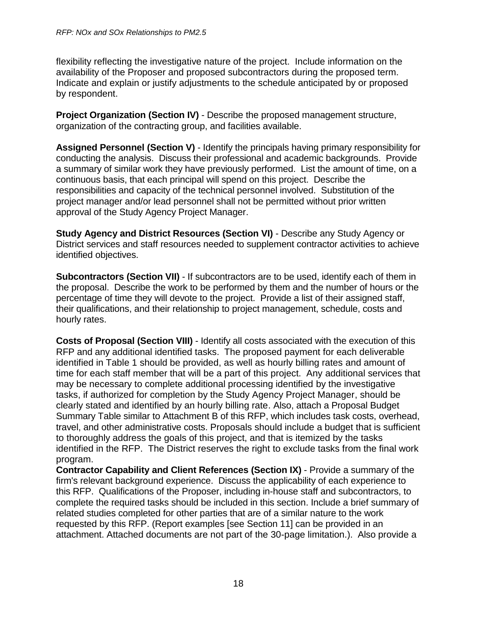flexibility reflecting the investigative nature of the project. Include information on the availability of the Proposer and proposed subcontractors during the proposed term. Indicate and explain or justify adjustments to the schedule anticipated by or proposed by respondent.

**Project Organization (Section IV)** - Describe the proposed management structure, organization of the contracting group, and facilities available.

**Assigned Personnel (Section V)** - Identify the principals having primary responsibility for conducting the analysis. Discuss their professional and academic backgrounds. Provide a summary of similar work they have previously performed. List the amount of time, on a continuous basis, that each principal will spend on this project. Describe the responsibilities and capacity of the technical personnel involved. Substitution of the project manager and/or lead personnel shall not be permitted without prior written approval of the Study Agency Project Manager.

**Study Agency and District Resources (Section VI)** - Describe any Study Agency or District services and staff resources needed to supplement contractor activities to achieve identified objectives.

**Subcontractors (Section VII)** - If subcontractors are to be used, identify each of them in the proposal. Describe the work to be performed by them and the number of hours or the percentage of time they will devote to the project. Provide a list of their assigned staff, their qualifications, and their relationship to project management, schedule, costs and hourly rates.

**Costs of Proposal (Section VIII)** - Identify all costs associated with the execution of this RFP and any additional identified tasks. The proposed payment for each deliverable identified in Table 1 should be provided, as well as hourly billing rates and amount of time for each staff member that will be a part of this project. Any additional services that may be necessary to complete additional processing identified by the investigative tasks, if authorized for completion by the Study Agency Project Manager, should be clearly stated and identified by an hourly billing rate. Also, attach a Proposal Budget Summary Table similar to Attachment B of this RFP, which includes task costs, overhead, travel, and other administrative costs. Proposals should include a budget that is sufficient to thoroughly address the goals of this project, and that is itemized by the tasks identified in the RFP. The District reserves the right to exclude tasks from the final work program.

**Contractor Capability and Client References (Section IX)** - Provide a summary of the firm's relevant background experience. Discuss the applicability of each experience to this RFP. Qualifications of the Proposer, including in-house staff and subcontractors, to complete the required tasks should be included in this section. Include a brief summary of related studies completed for other parties that are of a similar nature to the work requested by this RFP. (Report examples [see Section 11] can be provided in an attachment. Attached documents are not part of the 30-page limitation.). Also provide a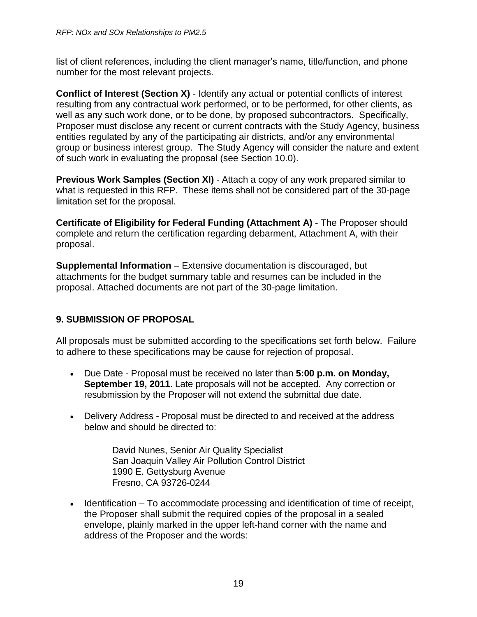list of client references, including the client manager's name, title/function, and phone number for the most relevant projects.

**Conflict of Interest (Section X)** - Identify any actual or potential conflicts of interest resulting from any contractual work performed, or to be performed, for other clients, as well as any such work done, or to be done, by proposed subcontractors. Specifically, Proposer must disclose any recent or current contracts with the Study Agency, business entities regulated by any of the participating air districts, and/or any environmental group or business interest group. The Study Agency will consider the nature and extent of such work in evaluating the proposal (see Section 10.0).

**Previous Work Samples (Section XI)** - Attach a copy of any work prepared similar to what is requested in this RFP. These items shall not be considered part of the 30-page limitation set for the proposal.

**Certificate of Eligibility for Federal Funding (Attachment A)** - The Proposer should complete and return the certification regarding debarment, Attachment A, with their proposal.

**Supplemental Information** – Extensive documentation is discouraged, but attachments for the budget summary table and resumes can be included in the proposal. Attached documents are not part of the 30-page limitation.

#### <span id="page-18-0"></span>**9. SUBMISSION OF PROPOSAL**

All proposals must be submitted according to the specifications set forth below. Failure to adhere to these specifications may be cause for rejection of proposal.

- Due Date Proposal must be received no later than **5:00 p.m. on Monday, September 19, 2011**. Late proposals will not be accepted. Any correction or resubmission by the Proposer will not extend the submittal due date.
- Delivery Address Proposal must be directed to and received at the address below and should be directed to:

David Nunes, Senior Air Quality Specialist San Joaquin Valley Air Pollution Control District 1990 E. Gettysburg Avenue Fresno, CA 93726-0244

 $\bullet$  Identification – To accommodate processing and identification of time of receipt, the Proposer shall submit the required copies of the proposal in a sealed envelope, plainly marked in the upper left-hand corner with the name and address of the Proposer and the words: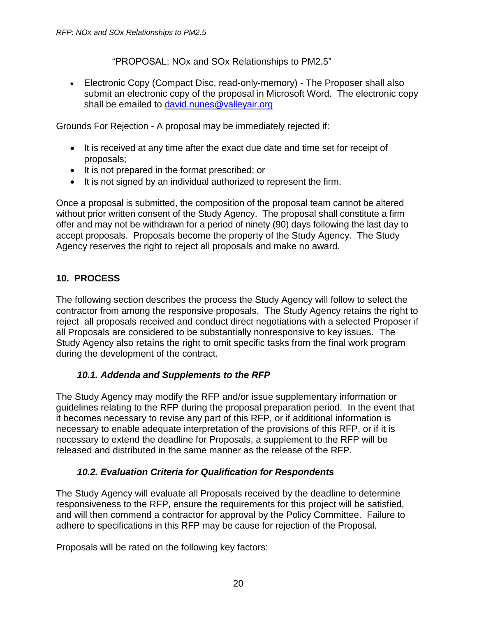"PROPOSAL: NOx and SOx Relationships to PM2.5"

• Electronic Copy (Compact Disc, read-only-memory) - The Proposer shall also submit an electronic copy of the proposal in Microsoft Word. The electronic copy shall be emailed to [david.nunes@valleyair.org](mailto:david.nunes@valleyair.org)

Grounds For Rejection - A proposal may be immediately rejected if:

- It is received at any time after the exact due date and time set for receipt of proposals;
- It is not prepared in the format prescribed; or
- It is not signed by an individual authorized to represent the firm.

Once a proposal is submitted, the composition of the proposal team cannot be altered without prior written consent of the Study Agency. The proposal shall constitute a firm offer and may not be withdrawn for a period of ninety (90) days following the last day to accept proposals. Proposals become the property of the Study Agency. The Study Agency reserves the right to reject all proposals and make no award.

#### <span id="page-19-0"></span>**10. PROCESS**

The following section describes the process the Study Agency will follow to select the contractor from among the responsive proposals. The Study Agency retains the right to reject all proposals received and conduct direct negotiations with a selected Proposer if all Proposals are considered to be substantially nonresponsive to key issues. The Study Agency also retains the right to omit specific tasks from the final work program during the development of the contract.

#### *10.1. Addenda and Supplements to the RFP*

<span id="page-19-1"></span>The Study Agency may modify the RFP and/or issue supplementary information or guidelines relating to the RFP during the proposal preparation period. In the event that it becomes necessary to revise any part of this RFP, or if additional information is necessary to enable adequate interpretation of the provisions of this RFP, or if it is necessary to extend the deadline for Proposals, a supplement to the RFP will be released and distributed in the same manner as the release of the RFP.

#### *10.2. Evaluation Criteria for Qualification for Respondents*

<span id="page-19-2"></span>The Study Agency will evaluate all Proposals received by the deadline to determine responsiveness to the RFP, ensure the requirements for this project will be satisfied, and will then commend a contractor for approval by the Policy Committee. Failure to adhere to specifications in this RFP may be cause for rejection of the Proposal.

Proposals will be rated on the following key factors: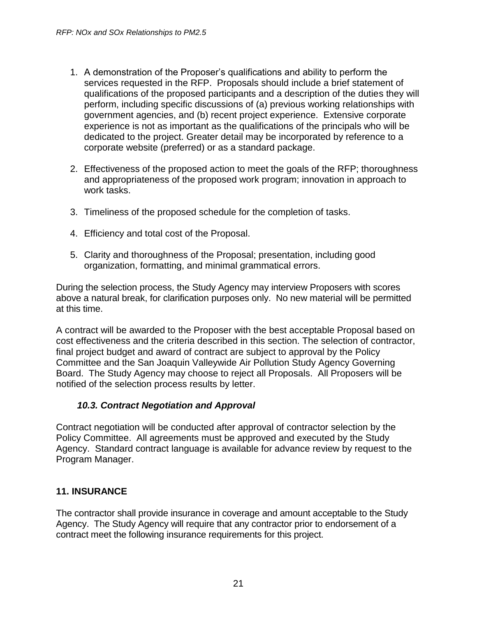- 1. A demonstration of the Proposer's qualifications and ability to perform the services requested in the RFP. Proposals should include a brief statement of qualifications of the proposed participants and a description of the duties they will perform, including specific discussions of (a) previous working relationships with government agencies, and (b) recent project experience. Extensive corporate experience is not as important as the qualifications of the principals who will be dedicated to the project. Greater detail may be incorporated by reference to a corporate website (preferred) or as a standard package.
- 2. Effectiveness of the proposed action to meet the goals of the RFP; thoroughness and appropriateness of the proposed work program; innovation in approach to work tasks.
- 3. Timeliness of the proposed schedule for the completion of tasks.
- 4. Efficiency and total cost of the Proposal.
- 5. Clarity and thoroughness of the Proposal; presentation, including good organization, formatting, and minimal grammatical errors.

During the selection process, the Study Agency may interview Proposers with scores above a natural break, for clarification purposes only. No new material will be permitted at this time.

A contract will be awarded to the Proposer with the best acceptable Proposal based on cost effectiveness and the criteria described in this section. The selection of contractor, final project budget and award of contract are subject to approval by the Policy Committee and the San Joaquin Valleywide Air Pollution Study Agency Governing Board. The Study Agency may choose to reject all Proposals. All Proposers will be notified of the selection process results by letter.

#### *10.3. Contract Negotiation and Approval*

<span id="page-20-0"></span>Contract negotiation will be conducted after approval of contractor selection by the Policy Committee. All agreements must be approved and executed by the Study Agency. Standard contract language is available for advance review by request to the Program Manager.

#### <span id="page-20-1"></span>**11. INSURANCE**

The contractor shall provide insurance in coverage and amount acceptable to the Study Agency. The Study Agency will require that any contractor prior to endorsement of a contract meet the following insurance requirements for this project.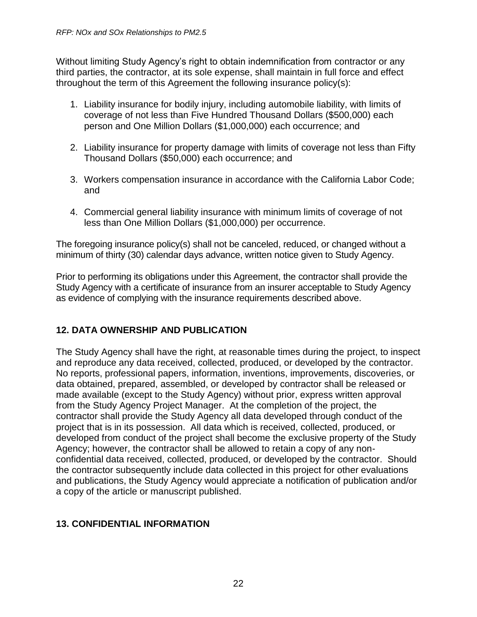Without limiting Study Agency's right to obtain indemnification from contractor or any third parties, the contractor, at its sole expense, shall maintain in full force and effect throughout the term of this Agreement the following insurance policy(s):

- 1. Liability insurance for bodily injury, including automobile liability, with limits of coverage of not less than Five Hundred Thousand Dollars (\$500,000) each person and One Million Dollars (\$1,000,000) each occurrence; and
- 2. Liability insurance for property damage with limits of coverage not less than Fifty Thousand Dollars (\$50,000) each occurrence; and
- 3. Workers compensation insurance in accordance with the California Labor Code; and
- 4. Commercial general liability insurance with minimum limits of coverage of not less than One Million Dollars (\$1,000,000) per occurrence.

The foregoing insurance policy(s) shall not be canceled, reduced, or changed without a minimum of thirty (30) calendar days advance, written notice given to Study Agency.

Prior to performing its obligations under this Agreement, the contractor shall provide the Study Agency with a certificate of insurance from an insurer acceptable to Study Agency as evidence of complying with the insurance requirements described above.

#### <span id="page-21-0"></span>**12. DATA OWNERSHIP AND PUBLICATION**

The Study Agency shall have the right, at reasonable times during the project, to inspect and reproduce any data received, collected, produced, or developed by the contractor. No reports, professional papers, information, inventions, improvements, discoveries, or data obtained, prepared, assembled, or developed by contractor shall be released or made available (except to the Study Agency) without prior, express written approval from the Study Agency Project Manager. At the completion of the project, the contractor shall provide the Study Agency all data developed through conduct of the project that is in its possession. All data which is received, collected, produced, or developed from conduct of the project shall become the exclusive property of the Study Agency; however, the contractor shall be allowed to retain a copy of any nonconfidential data received, collected, produced, or developed by the contractor. Should the contractor subsequently include data collected in this project for other evaluations and publications, the Study Agency would appreciate a notification of publication and/or a copy of the article or manuscript published.

#### <span id="page-21-1"></span>**13. CONFIDENTIAL INFORMATION**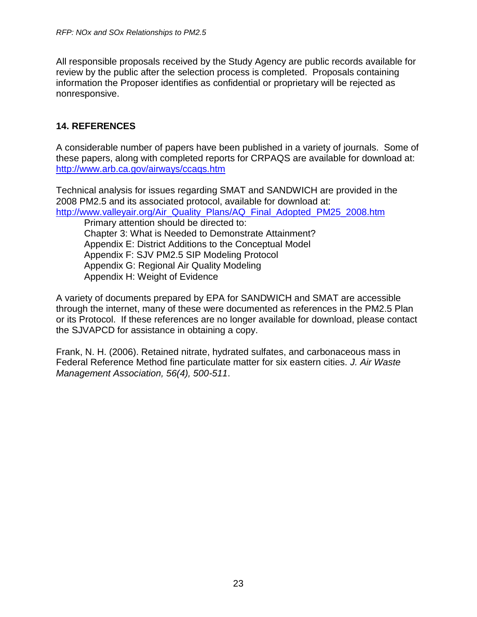All responsible proposals received by the Study Agency are public records available for review by the public after the selection process is completed. Proposals containing information the Proposer identifies as confidential or proprietary will be rejected as nonresponsive.

#### <span id="page-22-0"></span>**14. REFERENCES**

A considerable number of papers have been published in a variety of journals. Some of these papers, along with completed reports for CRPAQS are available for download at: <http://www.arb.ca.gov/airways/ccaqs.htm>

Technical analysis for issues regarding SMAT and SANDWICH are provided in the 2008 PM2.5 and its associated protocol, available for download at: [http://www.valleyair.org/Air\\_Quality\\_Plans/AQ\\_Final\\_Adopted\\_PM25\\_2008.htm](http://www.valleyair.org/Air_Quality_Plans/AQ_Final_Adopted_PM25_2008.htm)

Primary attention should be directed to: Chapter 3: What is Needed to Demonstrate Attainment? Appendix E: District Additions to the Conceptual Model Appendix F: SJV PM2.5 SIP Modeling Protocol Appendix G: Regional Air Quality Modeling Appendix H: Weight of Evidence

A variety of documents prepared by EPA for SANDWICH and SMAT are accessible through the internet, many of these were documented as references in the PM2.5 Plan or its Protocol. If these references are no longer available for download, please contact the SJVAPCD for assistance in obtaining a copy.

Frank, N. H. (2006). Retained nitrate, hydrated sulfates, and carbonaceous mass in Federal Reference Method fine particulate matter for six eastern cities. *J. Air Waste Management Association, 56(4), 500-511*.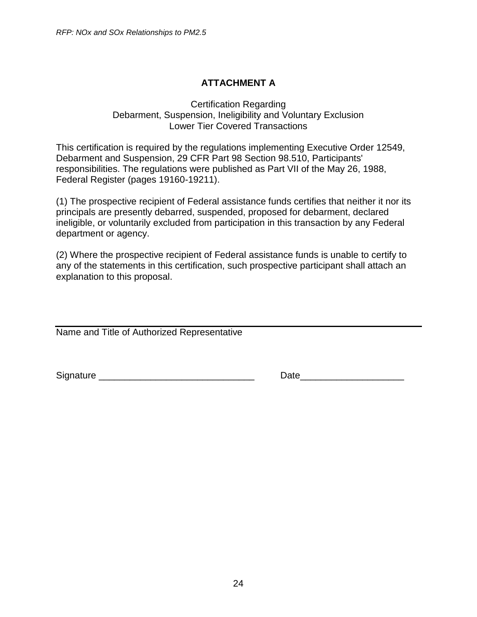## **ATTACHMENT A**

#### <span id="page-23-0"></span>Certification Regarding Debarment, Suspension, Ineligibility and Voluntary Exclusion Lower Tier Covered Transactions

This certification is required by the regulations implementing Executive Order 12549, Debarment and Suspension, 29 CFR Part 98 Section 98.510, Participants' responsibilities. The regulations were published as Part VII of the May 26, 1988, Federal Register (pages 19160-19211).

(1) The prospective recipient of Federal assistance funds certifies that neither it nor its principals are presently debarred, suspended, proposed for debarment, declared ineligible, or voluntarily excluded from participation in this transaction by any Federal department or agency.

(2) Where the prospective recipient of Federal assistance funds is unable to certify to any of the statements in this certification, such prospective participant shall attach an explanation to this proposal.

Name and Title of Authorized Representative

Signature **Example 20** and the set of the set of the set of the Date  $\alpha$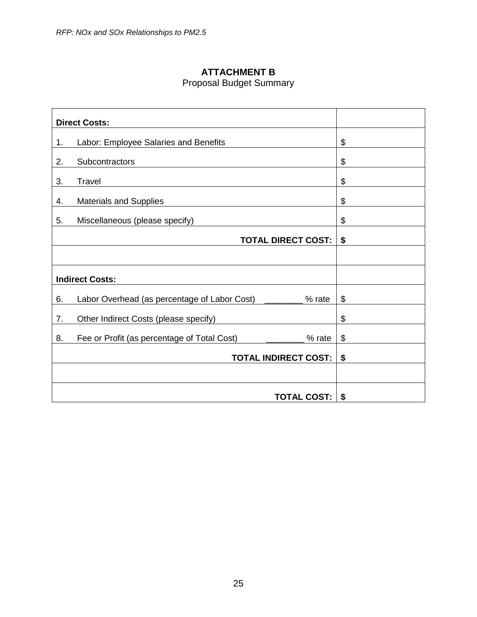# **ATTACHMENT B**

# Proposal Budget Summary

<span id="page-24-0"></span>

|    | <b>Direct Costs:</b>                                          |    |
|----|---------------------------------------------------------------|----|
| 1. | Labor: Employee Salaries and Benefits                         | \$ |
| 2. | Subcontractors                                                | \$ |
| 3. | <b>Travel</b>                                                 | \$ |
| 4. | <b>Materials and Supplies</b>                                 | \$ |
| 5. | Miscellaneous (please specify)                                | \$ |
|    | <b>TOTAL DIRECT COST:</b>                                     | \$ |
|    |                                                               |    |
|    | <b>Indirect Costs:</b>                                        |    |
| 6. | Labor Overhead (as percentage of Labor Cost) ______<br>% rate | \$ |
| 7. | Other Indirect Costs (please specify)                         | \$ |
| 8. | Fee or Profit (as percentage of Total Cost)<br>% rate         | \$ |
|    | <b>TOTAL INDIRECT COST:</b>                                   | \$ |
|    |                                                               |    |
|    | <b>TOTAL COST:</b>                                            | \$ |